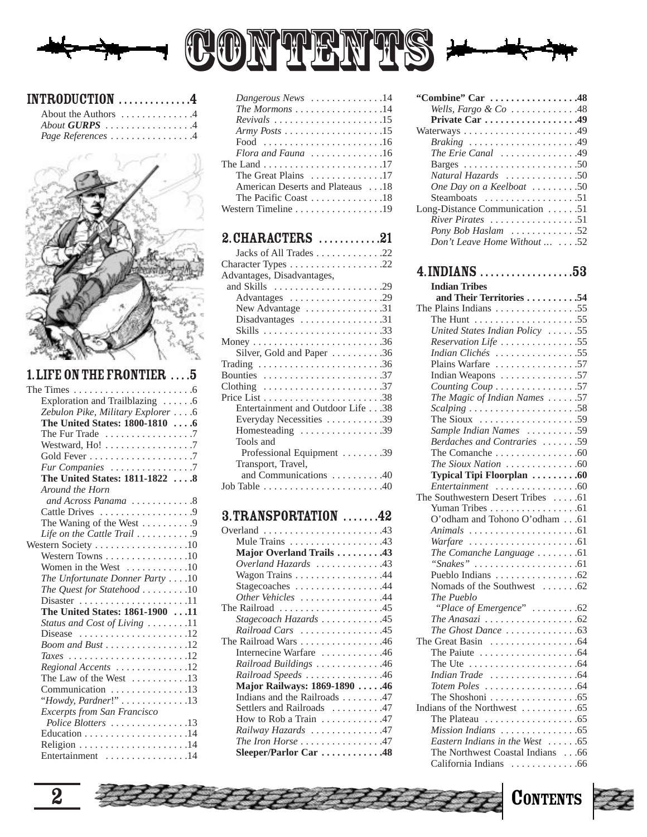



### $INTRODUCTION$  . . . . . . . . . . . . . 4

| About the Authors 4  |  |
|----------------------|--|
| About <b>GURPS</b> 4 |  |
| Page References 4    |  |



# 1.LIFE ON THE FRONTIER . . . .5

| The Times $\dots \dots \dots \dots \dots \dots \dots \dots \dots$ |
|-------------------------------------------------------------------|
| Exploration and Trailblazing 6                                    |
| Zebulon Pike, Military Explorer 6                                 |
| The United States: 1800-1810 6                                    |
| The Fur Trade $\dots\dots\dots\dots\dots$ .                       |
| Westward, Ho! 7                                                   |
|                                                                   |
| Fur Companies $\dots\dots\dots\dots\dots\dots$                    |
| The United States: 1811-1822 8                                    |
| Around the Horn                                                   |
| and Across Panama 8                                               |
| Cattle Drives 9                                                   |
| The Waning of the West 9                                          |
| Life on the Cattle Trail $\dots\dots\dots$ .                      |
| Western Society 10                                                |
| Western Towns $\dots \dots \dots \dots \dots \dots 10$            |
| Women in the West $\dots \dots \dots \dots \dots 10$              |
| The Unfortunate Donner Party 10                                   |
| The Quest for Statehood $\ldots \ldots \ldots 10$                 |
| Disaster 11                                                       |
| The United States: 1861-1900 11                                   |
| Status and Cost of Living 11                                      |
| Disease $\ldots \ldots \ldots \ldots \ldots \ldots 12$            |
| Boom and Bust 12                                                  |
| Taxes 12                                                          |
| ${\it Regional$ Accents $\ldots \ldots \ldots \ldots 12$          |
| The Law of the West $\dots\dots\dots\dots$ 13                     |
| Communication 13                                                  |
| "Howdy, Pardner!" 13                                              |
| Excerpts from San Francisco                                       |
| Police Blotters $\ldots \ldots \ldots \ldots \ldots$ 13           |
|                                                                   |
|                                                                   |
| Entertainment 14                                                  |

m

| Dangerous News $\dots\dots\dots\dots 14$                              |
|-----------------------------------------------------------------------|
| The Mormons 14                                                        |
|                                                                       |
| Army Posts $\dots \dots \dots \dots \dots \dots \dots \dots \dots 15$ |
|                                                                       |
| Flora and Fauna $\ldots \ldots \ldots \ldots 16$                      |
| The Land $\ldots \ldots \ldots \ldots \ldots \ldots \ldots 17$        |
| The Great Plains 17                                                   |
| American Deserts and Plateaus 18                                      |
| The Pacific Coast 18                                                  |
| Western Timeline 19                                                   |
|                                                                       |

# 2. CHARACTERS .............21

| Jacks of All Trades 22                                      |
|-------------------------------------------------------------|
| Character Types $\dots \dots \dots \dots \dots \dots \dots$ |
| Advantages, Disadvantages,                                  |
|                                                             |
| Advantages 29                                               |
| New Advantage 31                                            |
| $Disadvantages \dots \dots \dots \dots \dots 31$            |
|                                                             |
|                                                             |
| Silver, Gold and Paper 36                                   |
|                                                             |
|                                                             |
| Clothing 37                                                 |
|                                                             |
| Entertainment and Outdoor Life38                            |
| Everyday Necessities 39                                     |
| Homesteading 39                                             |
| Tools and                                                   |
| Professional Equipment 39                                   |
| Transport, Travel,                                          |
| and Communications 40                                       |
| Job Table $\dots\dots\dots\dots\dots\dots\dots$             |

# 3.TRANSPORTATION .......42

| Overland 43                                                 |
|-------------------------------------------------------------|
| Mule Trains $\dots \dots \dots \dots \dots \dots \dots$ .43 |
| Major Overland Trails 43                                    |
| Overland Hazards $\dots\dots\dots\dots$ .43                 |
| Wagon Trains 44                                             |
| Stagecoaches 44                                             |
| Other Vehicles $\dots\dots\dots\dots\dots$ .44              |
| The Railroad $\ldots \ldots \ldots \ldots \ldots \ldots$ 45 |
| Stagecoach Hazards 45                                       |
| Railroad Cars 45                                            |
| The Railroad Wars $\dots \dots \dots \dots \dots 46$        |
| Internecine Warfare 46                                      |
| Railroad Buildings 46                                       |
| Railroad Speeds 46                                          |
| Major Railways: 1869-1890 46                                |
| Indians and the Railroads 47                                |
| Settlers and Railroads 47                                   |
| How to Rob a Train 47                                       |
| Railway Hazards 47                                          |
| The Iron Horse $\dots \dots \dots \dots \dots 47$           |
| Sleeper/Parlor Car 48                                       |

| "Combine" Car 48                                                     |  |
|----------------------------------------------------------------------|--|
| Wells, Fargo & Co 48                                                 |  |
| Private Car 49                                                       |  |
|                                                                      |  |
| Braking 49                                                           |  |
| The Erie Canal 49                                                    |  |
|                                                                      |  |
| Natural Hazards 50                                                   |  |
| One Day on a Keelboat 50                                             |  |
| Steamboats 51                                                        |  |
| Long-Distance Communication 51                                       |  |
| River Pirates 51                                                     |  |
| Pony Bob Haslam 52                                                   |  |
| Don't Leave Home Without   .52                                       |  |
|                                                                      |  |
| $4. INDIANS \ldots \ldots \ldots \ldots \ldots \ldots 53$            |  |
|                                                                      |  |
| <b>Indian Tribes</b>                                                 |  |
| and Their Territories 54                                             |  |
| The Plains Indians 55                                                |  |
|                                                                      |  |
| United States Indian Policy 55                                       |  |
| Reservation Life 55                                                  |  |
| Indian Clichés 55                                                    |  |
| Plains Warfare 57                                                    |  |
| Indian Weapons 57                                                    |  |
| Counting Coup 57                                                     |  |
| The Magic of Indian Names 57                                         |  |
| $Scaling \ldots \ldots \ldots \ldots \ldots \ldots \ldots \ldots 58$ |  |
| The Sioux $\ldots \ldots \ldots \ldots \ldots \ldots$ .59            |  |
| Sample Indian Names 59                                               |  |
| Berdaches and Contraries 59<br>The Comanche 60                       |  |
| The Sioux Nation 60                                                  |  |
| Typical Tipi Floorplan 60                                            |  |
| Entertainment 60                                                     |  |
| The Southwestern Desert Tribes 61                                    |  |
| Yuman Tribes 61                                                      |  |
| O'odham and Tohono O'odham 61                                        |  |
|                                                                      |  |
| Warfare $\ldots \ldots \ldots \ldots \ldots \ldots \ldots 61$        |  |
| The Comanche Language $\dots \dots 61$                               |  |
|                                                                      |  |
| Pueblo Indians 62                                                    |  |
| Nomads of the Southwest 62                                           |  |
| The Pueblo                                                           |  |
| "Place of Emergence" 62                                              |  |
| The Anasazi $\ldots \ldots \ldots \ldots \ldots \ldots$ .62          |  |
| The Ghost Dance $\ldots \ldots \ldots \ldots \ldots$                 |  |
|                                                                      |  |
|                                                                      |  |
| The Ute                                                              |  |
| Indian Trade $\ldots \ldots \ldots \ldots \ldots$ .64                |  |
|                                                                      |  |
|                                                                      |  |
|                                                                      |  |
| The Plateau $\dots\dots\dots\dots\dots\dots.65$                      |  |
| Mission Indians 65                                                   |  |
| Eastern Indians in the West 65                                       |  |
| The Northwest Coastal Indians 66<br>California Indians 66            |  |
|                                                                      |  |





 $\overline{\mathbf{2}}$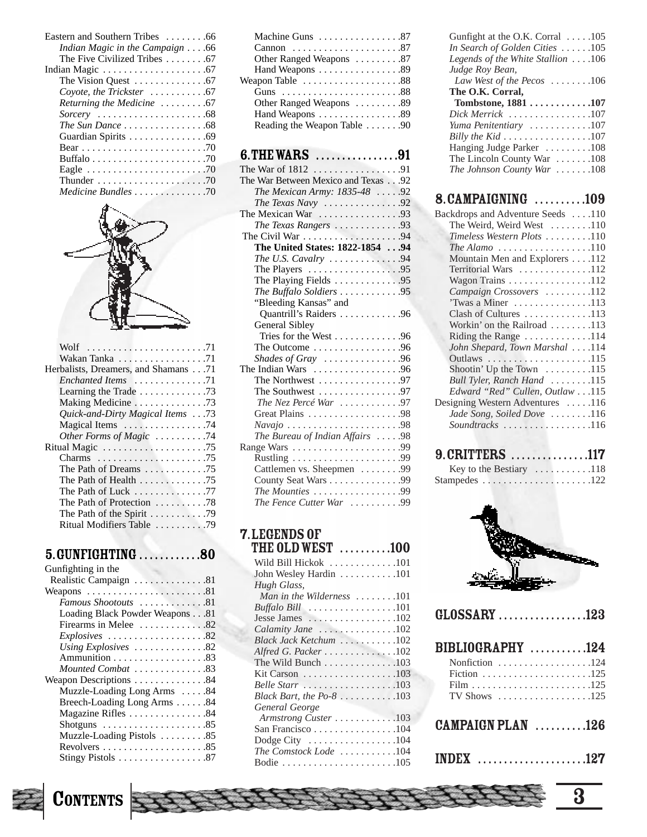| Eastern and Southern Tribes 66                                      |
|---------------------------------------------------------------------|
| Indian Magic in the Campaign 66                                     |
| The Five Civilized Tribes 67                                        |
| Indian Magic $\ldots \ldots \ldots \ldots \ldots \ldots$ . 67       |
|                                                                     |
| Coyote, the Trickster $\ldots \ldots \ldots \ldots$                 |
| Returning the Medicine 67                                           |
|                                                                     |
| The Sun Dance 68                                                    |
| Guardian Spirits 69                                                 |
|                                                                     |
|                                                                     |
| Eagle $\ldots \ldots \ldots \ldots \ldots \ldots \ldots \ldots$ .70 |
| Thunder $\ldots \ldots \ldots \ldots \ldots \ldots \ldots$ . 70     |
| <i>Medicine Bundles</i> 70                                          |



| Wolf 71                                                 |
|---------------------------------------------------------|
| Wakan Tanka 71                                          |
| Herbalists, Dreamers, and Shamans71                     |
| Enchanted Items 71                                      |
| Learning the Trade 73                                   |
| Making Medicine 73                                      |
| Quick-and-Dirty Magical Items73                         |
| Magical Items $\dots \dots \dots \dots \dots \dots$ .74 |
| Other Forms of Magic 74                                 |
|                                                         |
|                                                         |
| The Path of Dreams $\dots \dots \dots \dots \dots$ .75  |
|                                                         |
| The Path of Luck 77                                     |
| The Path of Protection 78                               |
| The Path of the Spirit 79                               |
| Ritual Modifiers Table 79                               |

## 5.GUNFIGHTING . . . . . . . . . . . .80

| Realistic Campaign 81                                                  |
|------------------------------------------------------------------------|
| Weapons $\ldots \ldots \ldots \ldots \ldots \ldots \ldots \ldots$ . 81 |
| Famous Shootouts 81                                                    |
| Loading Black Powder Weapons81                                         |
| Firearms in Melee 82                                                   |
|                                                                        |
| Using Explosives 82                                                    |
| Ammunition 83                                                          |
| $Mounted Combat$ 83                                                    |
| Weapon Descriptions 84                                                 |
| Muzzle-Loading Long Arms 84                                            |
| Breech-Loading Long Arms 84                                            |
| Magazine Rifles 84                                                     |
| Shotguns $\dots \dots \dots \dots \dots \dots \dots$ .85               |
| Muzzle-Loading Pistols  85                                             |
|                                                                        |
| Stingy Pistols $\dots \dots \dots \dots \dots \dots 87$                |
|                                                                        |

| Machine Guns 87             |  |
|-----------------------------|--|
|                             |  |
| Other Ranged Weapons 87     |  |
| Hand Weapons 89             |  |
|                             |  |
|                             |  |
| Other Ranged Weapons  89    |  |
| Hand Weapons 89             |  |
| Reading the Weapon Table 90 |  |

## 6. THE WARS  $\ldots$ ................91

| The War Between Mexico and Texas 92                          |  |
|--------------------------------------------------------------|--|
| The Mexican Army: 1835-48 92                                 |  |
| The Texas Navy $\ldots \ldots \ldots \ldots \ldots 92$       |  |
| The Mexican War 93                                           |  |
| The Texas Rangers 93                                         |  |
|                                                              |  |
| The United States: 1822-1854  94                             |  |
| The U.S. Cavalry $\dots \dots \dots \dots 94$                |  |
|                                                              |  |
|                                                              |  |
| The Buffalo Soldiers 95                                      |  |
| "Bleeding Kansas" and                                        |  |
| Quantrill's Raiders 96                                       |  |
| <b>General Sibley</b>                                        |  |
| Tries for the West $\dots \dots \dots \dots$ .96             |  |
| The Outcome $\dots \dots \dots \dots \dots \dots$ .96        |  |
| Shades of Gray $\ldots \ldots \ldots \ldots \ldots$          |  |
| The Indian Wars $\dots \dots \dots \dots \dots$ .96          |  |
| The Northwest 97                                             |  |
| The Southwest $\dots \dots \dots \dots \dots$ .97            |  |
| The Nez Percé War 97                                         |  |
|                                                              |  |
|                                                              |  |
| The Bureau of Indian Affairs 98                              |  |
|                                                              |  |
|                                                              |  |
| Cattlemen vs. Sheepmen 99                                    |  |
| County Seat Wars 99                                          |  |
| The Mounties $\ldots \ldots \ldots \ldots \ldots \ldots$ .99 |  |
| The Fence Cutter War 99                                      |  |

# 7.LEGENDS OF

| THE OLD WEST $\,\,\ldots\,\ldots\,\ldots\,\,100$            |  |
|-------------------------------------------------------------|--|
| Wild Bill Hickok 101                                        |  |
| John Wesley Hardin 101                                      |  |
| Hugh Glass,                                                 |  |
| Man in the Wilderness $\ldots \ldots \ldots 101$            |  |
| Buffalo Bill $\ldots \ldots \ldots \ldots \ldots 101$       |  |
| Jesse James 102                                             |  |
| Calamity Jane 102                                           |  |
| Black Jack Ketchum 102                                      |  |
| Alfred G. Packer 102                                        |  |
|                                                             |  |
| Kit Carson $\ldots \ldots \ldots \ldots \ldots \ldots 103$  |  |
| Belle Starr $\ldots \ldots \ldots \ldots \ldots \ldots 103$ |  |
| Black Bart, the $Po-8$ 103                                  |  |
| General George                                              |  |
| Armstrong Custer 103                                        |  |
| San Francisco 104                                           |  |
| Dodge City $\dots \dots \dots \dots \dots \dots \dots 104$  |  |
| The Comstock Lode 104                                       |  |
|                                                             |  |
|                                                             |  |

| Gunfight at the O.K. Corral  .105                   |
|-----------------------------------------------------|
| In Search of Golden Cities $\ldots \ldots 105$      |
| Legends of the White Stallion $\dots$ .106          |
| Judge Roy Bean,                                     |
| Law West of the Pecos $\dots\dots\dots$             |
| The O.K. Corral,                                    |
| Tombstone, $1881$ 107                               |
|                                                     |
| $ Dick \, Merrick \,$ 107                           |
| Yuma Penitentiary $\ldots \ldots \ldots \ldots 107$ |
|                                                     |
| Hanging Judge Parker 108                            |
| The Lincoln County War 108                          |
| The Johnson County War 108                          |

# 8.CAMPAIGNING ..........109

| Backdrops and Adventure Seeds 110                  |
|----------------------------------------------------|
| The Weird, Weird West 110                          |
| Timeless Western Plots 110                         |
| The Alamo $\ldots \ldots \ldots \ldots \ldots 110$ |
| Mountain Men and Explorers 112                     |
| Territorial Wars 112                               |
| Wagon Trains 112                                   |
| Campaign Crossovers 112                            |
|                                                    |
| Clash of Cultures 113                              |
| Workin' on the Railroad 113                        |
| Riding the Range 114                               |
| John Shepard, Town Marshal 114                     |
|                                                    |
| Shootin' Up the Town $\dots \dots \dots 115$       |
| Bull Tyler, Ranch Hand 115                         |
| Edward "Red" Cullen, Outlaw 115                    |
| Designing Western Adventures 116                   |
| Jade Song, Soiled Dove 116                         |
| $Soundtracks$ 116                                  |
|                                                    |

#### 9.CRITTERS . . . . . . . . . . . . . . .117 Key to the Bestiary ............118 Stampedes . . . . . . . . . . . . . . . . . . . . .122



| GLOSSARY 123                                          |  |
|-------------------------------------------------------|--|
| BIBLIOGRAPHY 124                                      |  |
| Nonfiction $\dots\dots\dots\dots\dots124$             |  |
|                                                       |  |
|                                                       |  |
| TV Shows $\dots \dots \dots \dots \dots \dots 125$    |  |
| CAMPAIGN PLAN $\dots \dots \dots 126$                 |  |
| INDEX $\ldots \ldots \ldots \ldots \ldots \ldots 127$ |  |



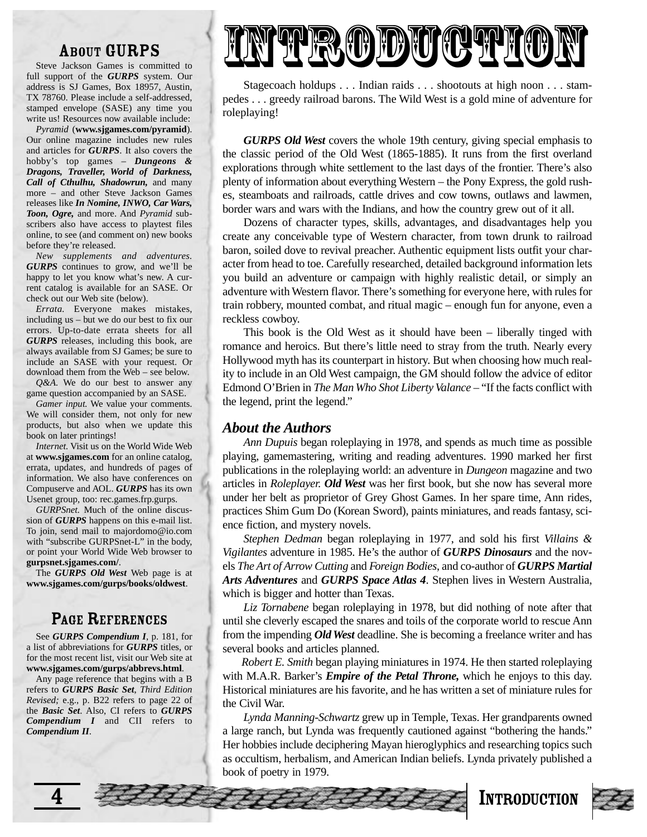## ABOUT GURPS

Steve Jackson Games is committed to full support of the *GURPS* system. Our address is SJ Games, Box 18957, Austin, TX 78760. Please include a self-addressed, stamped envelope (SASE) any time you write us! Resources now available include:

*Pyramid* (**www.sjgames.com/pyramid**). Our online magazine includes new rules and articles for *GURPS*. It also covers the hobby's top games – *Dungeons & Dragons, Traveller, World of Darkness, Call of Cthulhu, Shadowrun,* and many more – and other Steve Jackson Games releases like *In Nomine, INWO, Car Wars, Toon, Ogre,* and more. And *Pyramid* subscribers also have access to playtest files online, to see (and comment on) new books before they're released.

*New supplements and adventures. GURPS* continues to grow, and we'll be happy to let you know what's new. A current catalog is available for an SASE. Or check out our Web site (below).

*Errata.* Everyone makes mistakes, including us – but we do our best to fix our errors. Up-to-date errata sheets for all *GURPS* releases, including this book, are always available from SJ Games; be sure to include an SASE with your request. Or download them from the Web – see below.

*Q&A.* We do our best to answer any game question accompanied by an SASE.

*Gamer input.* We value your comments. We will consider them, not only for new products, but also when we update this book on later printings!

*Internet.* Visit us on the World Wide Web at **www.sjgames.com** for an online catalog, errata, updates, and hundreds of pages of information. We also have conferences on Compuserve and AOL. *GURPS* has its own Usenet group, too: rec.games.frp.gurps.

*GURPSnet.* Much of the online discussion of *GURPS* happens on this e-mail list. To join, send mail to majordomo@io.com with "subscribe GURPSnet-L" in the body, or point your World Wide Web browser to **gurpsnet.sjgames.com/**.

The *GURPS Old West* Web page is at **www.sjgames.com/gurps/books/oldwest**.

### PAGE REFERENCES

See *GURPS Compendium I*, p. 181, for a list of abbreviations for *GURPS* titles, or for the most recent list, visit our Web site at **www.sjgames.com/gurps/abbrevs.html**.

Any page reference that begins with a B refers to *GURPS Basic Set*, *Third Edition Revised;* e.g., p. B22 refers to page 22 of the *Basic Set*. Also, CI refers to *GURPS Compendium I* and CII refers to *Compendium II*.

# **IR.ODDUCTION**

Stagecoach holdups . . . Indian raids . . . shootouts at high noon . . . stampedes . . . greedy railroad barons. The Wild West is a gold mine of adventure for roleplaying!

*GURPS Old West* covers the whole 19th century, giving special emphasis to the classic period of the Old West (1865-1885). It runs from the first overland explorations through white settlement to the last days of the frontier. There's also plenty of information about everything Western – the Pony Express, the gold rushes, steamboats and railroads, cattle drives and cow towns, outlaws and lawmen, border wars and wars with the Indians, and how the country grew out of it all.

Dozens of character types, skills, advantages, and disadvantages help you create any conceivable type of Western character, from town drunk to railroad baron, soiled dove to revival preacher. Authentic equipment lists outfit your character from head to toe. Carefully researched, detailed background information lets you build an adventure or campaign with highly realistic detail, or simply an adventure with Western flavor. There's something for everyone here, with rules for train robbery, mounted combat, and ritual magic – enough fun for anyone, even a reckless cowboy.

This book is the Old West as it should have been – liberally tinged with romance and heroics. But there's little need to stray from the truth. Nearly every Hollywood myth has its counterpart in history. But when choosing how much reality to include in an Old West campaign, the GM should follow the advice of editor Edmond O'Brien in *The Man Who Shot Liberty Valance* – "If the facts conflict with the legend, print the legend."

### *About the Authors*

*Ann Dupuis* began roleplaying in 1978, and spends as much time as possible playing, gamemastering, writing and reading adventures. 1990 marked her first publications in the roleplaying world: an adventure in *Dungeon* magazine and two articles in *Roleplayer. Old West* was her first book, but she now has several more under her belt as proprietor of Grey Ghost Games. In her spare time, Ann rides, practices Shim Gum Do (Korean Sword), paints miniatures, and reads fantasy, science fiction, and mystery novels.

*Stephen Dedman* began roleplaying in 1977, and sold his first *Villains & Vigilantes* adventure in 1985. He's the author of *GURPS Dinosaurs* and the novels *The Art of Arrow Cutting* and *Foreign Bodies*, and co-author of *GURPS Martial Arts Adventures* and *GURPS Space Atlas 4*. Stephen lives in Western Australia, which is bigger and hotter than Texas.

*Liz Tornabene* began roleplaying in 1978, but did nothing of note after that until she cleverly escaped the snares and toils of the corporate world to rescue Ann from the impending *Old West* deadline. She is becoming a freelance writer and has several books and articles planned.

*Robert E. Smith* began playing miniatures in 1974. He then started roleplaying with M.A.R. Barker's *Empire of the Petal Throne,* which he enjoys to this day. Historical miniatures are his favorite, and he has written a set of miniature rules for the Civil War.

*Lynda Manning-Schwartz* grew up in Temple, Texas. Her grandparents owned a large ranch, but Lynda was frequently cautioned against "bothering the hands." Her hobbies include deciphering Mayan hieroglyphics and researching topics such as occultism, herbalism, and American Indian beliefs. Lynda privately published a book of poetry in 1979.





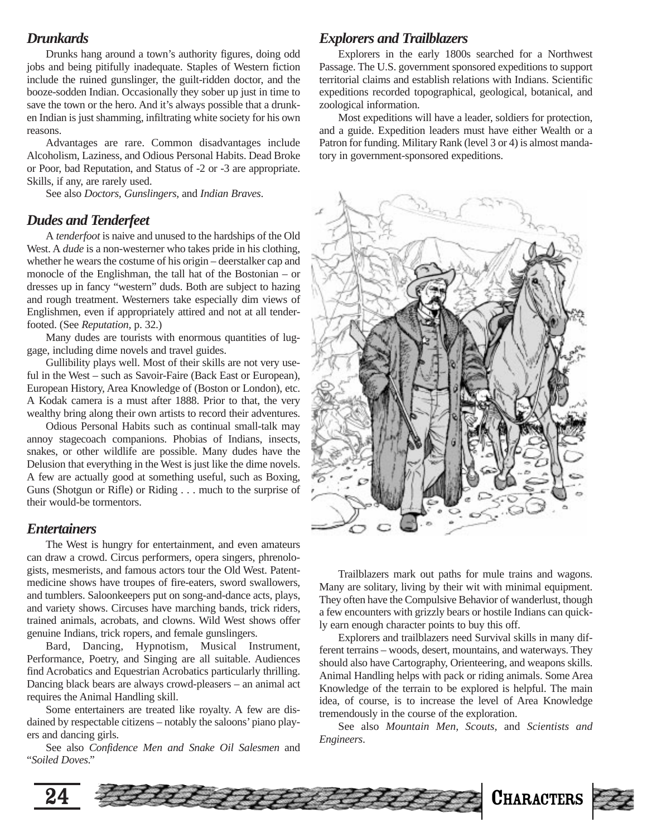### *Drunkards*

Drunks hang around a town's authority figures, doing odd jobs and being pitifully inadequate. Staples of Western fiction include the ruined gunslinger, the guilt-ridden doctor, and the booze-sodden Indian. Occasionally they sober up just in time to save the town or the hero. And it's always possible that a drunken Indian is just shamming, infiltrating white society for his own reasons.

Advantages are rare. Common disadvantages include Alcoholism, Laziness, and Odious Personal Habits. Dead Broke or Poor, bad Reputation, and Status of -2 or -3 are appropriate. Skills, if any, are rarely used.

See also *Doctors, Gunslingers,* and *Indian Braves*.

### *Dudes and Tenderfeet*

A *tenderfoot* is naive and unused to the hardships of the Old West. A *dude* is a non-westerner who takes pride in his clothing, whether he wears the costume of his origin – deerstalker cap and monocle of the Englishman, the tall hat of the Bostonian – or dresses up in fancy "western" duds. Both are subject to hazing and rough treatment. Westerners take especially dim views of Englishmen, even if appropriately attired and not at all tenderfooted. (See *Reputation,* p. 32.)

Many dudes are tourists with enormous quantities of luggage, including dime novels and travel guides.

Gullibility plays well. Most of their skills are not very useful in the West – such as Savoir-Faire (Back East or European), European History, Area Knowledge of (Boston or London), etc. A Kodak camera is a must after 1888. Prior to that, the very wealthy bring along their own artists to record their adventures.

Odious Personal Habits such as continual small-talk may annoy stagecoach companions. Phobias of Indians, insects, snakes, or other wildlife are possible. Many dudes have the Delusion that everything in the West is just like the dime novels. A few are actually good at something useful, such as Boxing, Guns (Shotgun or Rifle) or Riding . . . much to the surprise of their would-be tormentors.

### *Entertainers*

The West is hungry for entertainment, and even amateurs can draw a crowd. Circus performers, opera singers, phrenologists, mesmerists, and famous actors tour the Old West. Patentmedicine shows have troupes of fire-eaters, sword swallowers, and tumblers. Saloonkeepers put on song-and-dance acts, plays, and variety shows. Circuses have marching bands, trick riders, trained animals, acrobats, and clowns. Wild West shows offer genuine Indians, trick ropers, and female gunslingers.

Bard, Dancing, Hypnotism, Musical Instrument, Performance, Poetry, and Singing are all suitable. Audiences find Acrobatics and Equestrian Acrobatics particularly thrilling. Dancing black bears are always crowd-pleasers – an animal act requires the Animal Handling skill.

Some entertainers are treated like royalty. A few are disdained by respectable citizens – notably the saloons' piano players and dancing girls.

See also *Confidence Men and Snake Oil Salesmen* and "*Soiled Doves*."

### *Explorers and Trailblazers*

Explorers in the early 1800s searched for a Northwest Passage. The U.S. government sponsored expeditions to support territorial claims and establish relations with Indians. Scientific expeditions recorded topographical, geological, botanical, and zoological information.

Most expeditions will have a leader, soldiers for protection, and a guide. Expedition leaders must have either Wealth or a Patron for funding. Military Rank (level 3 or 4) is almost mandatory in government-sponsored expeditions.



Trailblazers mark out paths for mule trains and wagons. Many are solitary, living by their wit with minimal equipment. They often have the Compulsive Behavior of wanderlust, though a few encounters with grizzly bears or hostile Indians can quickly earn enough character points to buy this off.

Explorers and trailblazers need Survival skills in many different terrains – woods, desert, mountains, and waterways. They should also have Cartography, Orienteering, and weapons skills. Animal Handling helps with pack or riding animals. Some Area Knowledge of the terrain to be explored is helpful. The main idea, of course, is to increase the level of Area Knowledge tremendously in the course of the exploration.

See also *Mountain Men, Scouts,* and *Scientists and Engineers*.